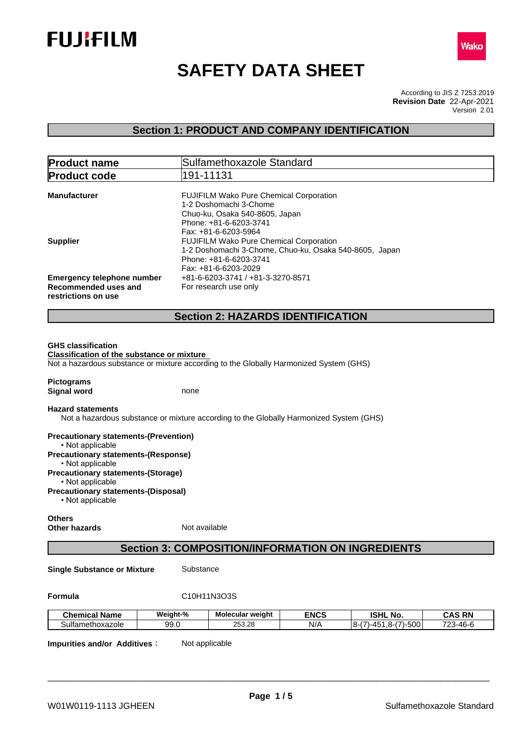



# **SAFETY DATA SHEET**

According to JIS Z 7253:2019 Version 2.01 **Revision Date** 22-Apr-2021

### **Section 1: PRODUCT AND COMPANY IDENTIFICATION**

| <b>Product name</b>                          | Sulfamethoxazole Standard                                                              |
|----------------------------------------------|----------------------------------------------------------------------------------------|
| <b>Product code</b>                          | 191-11131                                                                              |
| <b>Manufacturer</b>                          | <b>FUJIFILM Wako Pure Chemical Corporation</b><br>1-2 Doshomachi 3-Chome               |
|                                              | Chuo-ku, Osaka 540-8605, Japan<br>Phone: +81-6-6203-3741                               |
|                                              | Fax: +81-6-6203-5964                                                                   |
| <b>Supplier</b>                              | <b>FUJIFILM Wako Pure Chemical Corporation</b>                                         |
|                                              | 1-2 Doshomachi 3-Chome, Chuo-ku, Osaka 540-8605, Japan                                 |
|                                              | Phone: +81-6-6203-3741                                                                 |
|                                              | Fax: +81-6-6203-2029                                                                   |
| <b>Emergency telephone number</b>            | +81-6-6203-3741 / +81-3-3270-8571                                                      |
| Recommended uses and                         | For research use only                                                                  |
| restrictions on use                          |                                                                                        |
|                                              | <b>Section 2: HAZARDS IDENTIFICATION</b>                                               |
| <b>GHS classification</b>                    |                                                                                        |
| Classification of the substance or mixture   |                                                                                        |
|                                              | Not a hazardous substance or mixture according to the Globally Harmonized System (GHS) |
|                                              |                                                                                        |
| <b>Pictograms</b>                            |                                                                                        |
| <b>Signal word</b>                           | none                                                                                   |
| <b>Hazard statements</b>                     |                                                                                        |
|                                              | Not a hazardous substance or mixture according to the Globally Harmonized System (GHS) |
| <b>Precautionary statements-(Prevention)</b> |                                                                                        |

• Not applicable **Precautionary statements-(Response)** • Not applicable **Precautionary statements-(Storage)** • Not applicable **Precautionary statements-(Disposal)** • Not applicable

**Others Other hazards** Not available

### **Section 3: COMPOSITION/INFORMATION ON INGREDIENTS**

**Single Substance or Mixture** Substance

**Formula** C10H11N3O3S

| .<br><b>Chemical Name</b>    | Weight-% | Molecular weight | <b>ENCS</b> | ISHL<br>NO.                                          | <b>CAS RN</b>          |
|------------------------------|----------|------------------|-------------|------------------------------------------------------|------------------------|
| Sulfa<br>ethoxazole<br>ametr | 99.0     | 253.28           | N/A         | ∩∩ה.<br>-<br>я.<br>$-7$<br>. .<br>~-<br>wu<br>.<br>ີ | フつつ<br>$3-46-F$<br>-ու |

**Impurities and/or Additives:** Not applicable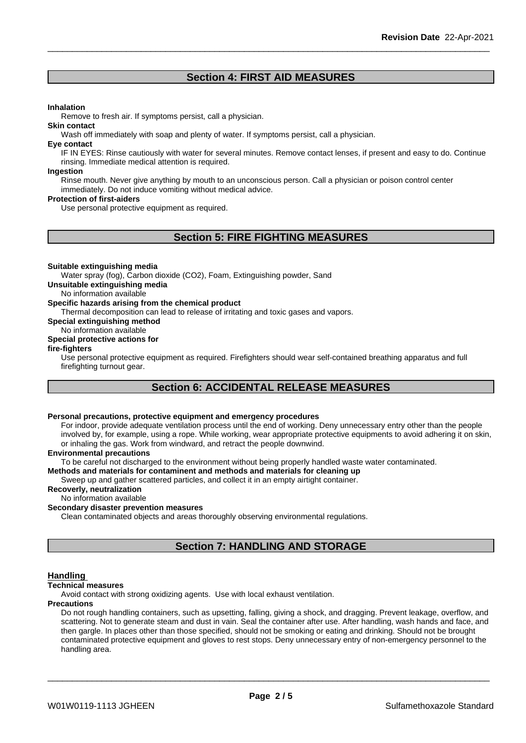### **Section 4: FIRST AID MEASURES**

#### **Inhalation**

Remove to fresh air. If symptoms persist, call a physician.

#### **Skin contact**

Wash off immediately with soap and plenty of water. If symptoms persist, call a physician.

#### **Eye contact**

IF IN EYES: Rinse cautiously with water for several minutes. Remove contact lenses, if present and easy to do. Continue rinsing. Immediate medical attention is required.

#### **Ingestion**

Rinse mouth. Never give anything by mouth to an unconscious person. Call a physician or poison control center immediately. Do not induce vomiting without medical advice.

#### **Protection of first-aiders**

Use personal protective equipment as required.

### **Section 5: FIRE FIGHTING MEASURES**

#### **Suitable extinguishing media**

Water spray (fog), Carbon dioxide (CO2), Foam, Extinguishing powder, Sand

**Unsuitable extinguishing media**

No information available

#### **Specific hazards arising from the chemical product**

Thermal decomposition can lead to release of irritating and toxic gases and vapors.

**Special extinguishing method**

### No information available

## **Special protective actions for**

#### **fire-fighters**

Use personal protective equipment as required.Firefighters should wear self-contained breathing apparatus and full firefighting turnout gear.

### **Section 6: ACCIDENTAL RELEASE MEASURES**

### **Personal precautions, protective equipment and emergency procedures**

For indoor, provide adequate ventilation process until the end of working. Deny unnecessary entry other than the people involved by, for example, using a rope. While working, wear appropriate protective equipments to avoid adhering it on skin, or inhaling the gas. Work from windward, and retract the people downwind.

#### **Environmental precautions**

To be careful not discharged to the environment without being properly handled waste water contaminated.

#### **Methods and materials for contaminent and methods and materials for cleaning up**

Sweep up and gather scattered particles, and collect it in an empty airtight container.

#### **Recoverly, neutralization**

No information available

#### **Secondary disaster prevention measures**

Clean contaminated objects and areas thoroughly observing environmental regulations.

### **Section 7: HANDLING AND STORAGE**

#### **Handling**

#### **Technical measures**

Avoid contact with strong oxidizing agents. Use with local exhaust ventilation.

#### **Precautions**

Do not rough handling containers, such as upsetting, falling, giving a shock, and dragging. Prevent leakage, overflow, and scattering. Not to generate steam and dust in vain. Seal the container after use. After handling, wash hands and face, and then gargle. In places other than those specified, should not be smoking or eating and drinking. Should not be brought contaminated protective equipment and gloves to rest stops. Deny unnecessary entry of non-emergency personnel to the handling area.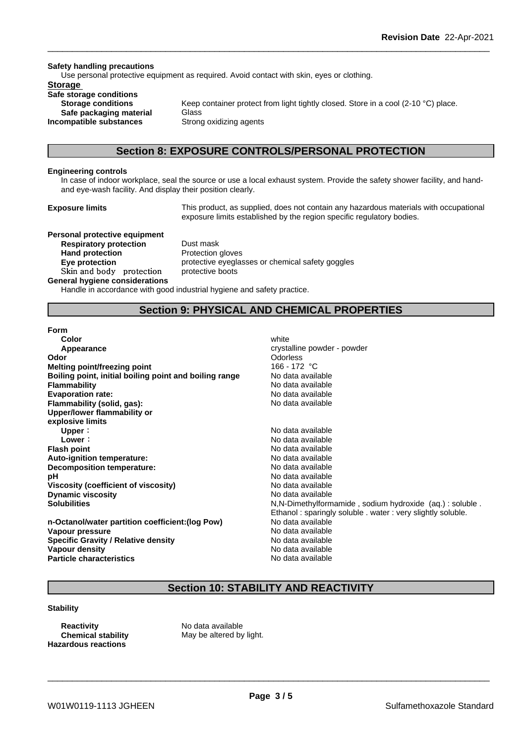#### **Safety handling precautions**

Use personal protective equipment as required. Avoid contact with skin, eyes or clothing.

### **Storage**

**Safe storage conditions Safe packaging material** Glass **Incompatible substances** Strong oxidizing agents

**Storage conditions** Keep container protect from light tightly closed. Store in a cool (2-10 °C) place.

#### **Section 8: EXPOSURE CONTROLS/PERSONAL PROTECTION**

#### **Engineering controls**

In case of indoor workplace, seal the source or use a local exhaust system. Provide the safety shower facility, and handand eye-wash facility. And display their position clearly.

**Exposure limits** This product, as supplied, does not contain any hazardous materials with occupational exposure limits established by the region specific regulatory bodies.

**Personal protective equipment Respiratory protection** Dust mask **Hand protection** Protection gloves Skin and body protection protective boots

**Eye protection protective eyeglasses or chemical safety goggles** 

#### **General hygiene considerations**

Handle in accordance with good industrial hygiene and safety practice.

### **Section 9: PHYSICAL AND CHEMICAL PROPERTIES**

#### **Form**

| Color                                                  | white                                                      |
|--------------------------------------------------------|------------------------------------------------------------|
| Appearance                                             | crystalline powder - powder                                |
| Odor                                                   | <b>Odorless</b>                                            |
| Melting point/freezing point                           | 166 - 172 °C                                               |
| Boiling point, initial boiling point and boiling range | No data available                                          |
| <b>Flammability</b>                                    | No data available                                          |
| <b>Evaporation rate:</b>                               | No data available                                          |
| Flammability (solid, gas):                             | No data available                                          |
| Upper/lower flammability or                            |                                                            |
| explosive limits                                       |                                                            |
| Upper:                                                 | No data available                                          |
| Lower:                                                 | No data available                                          |
| <b>Flash point</b>                                     | No data available                                          |
| Auto-ignition temperature:                             | No data available                                          |
| Decomposition temperature:                             | No data available                                          |
| рH                                                     | No data available                                          |
| Viscosity (coefficient of viscosity)                   | No data available                                          |
| <b>Dynamic viscosity</b>                               | No data available                                          |
| <b>Solubilities</b>                                    | N, N-Dimethylformamide, sodium hydroxide (aq.): soluble.   |
|                                                        | Ethanol: sparingly soluble . water: very slightly soluble. |
| n-Octanol/water partition coefficient: (log Pow)       | No data available                                          |
| Vapour pressure                                        | No data available                                          |
| <b>Specific Gravity / Relative density</b>             | No data available                                          |
| Vapour density                                         | No data available                                          |
| <b>Particle characteristics</b>                        | No data available                                          |

### **Section 10: STABILITY AND REACTIVITY**

#### **Stability**

**Reactivity** No data available **Hazardous reactions**

**Chemical stability** May be altered by light.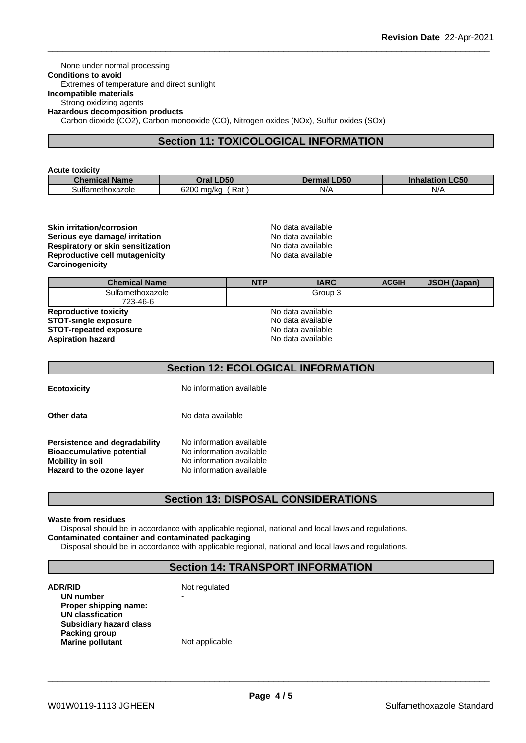#### None under normal processing **Conditions to avoid** Extremes of temperature and direct sunlight **Incompatible materials** Strong oxidizing agents **Hazardous decomposition products**

Carbon dioxide (CO2), Carbon monooxide (CO), Nitrogen oxides (NOx), Sulfur oxides (SOx)

### **Section 11: TOXICOLOGICAL INFORMATION**

#### **Acute toxicity**

| Chemical<br><b>Name</b>     | $\sqrt{D50}$<br>Oral L   | .D <sub>50</sub><br>Dermal | C <sub>5</sub><br>.cou<br>innalation |
|-----------------------------|--------------------------|----------------------------|--------------------------------------|
| $\cdot$<br>Sulfamethoxazole | 6200 ma/ka<br>Rat<br>. . | N/A                        | N/L<br>$\cdots$                      |

#### **Skin irritation/corrosion**<br> **Serious eve damage/ irritation**<br> **Serious eve damage/ irritation Serious eye damage/ irritation**<br> **Respiratory or skin sensitization**<br> **Respiratory or skin sensitization Respiratory or skin sensitization**<br> **Reproductive cell mutagenicity**<br> **Reproductive cell mutagenicity**<br> **No data available Reproductive cell mutagenicity Carcinogenicity**

| <b>Chemical Name</b>          | <b>NTP</b> | <b>IARC</b>       | <b>ACGIH</b> | <b>JSOH (Japan)</b> |
|-------------------------------|------------|-------------------|--------------|---------------------|
| Sulfamethoxazole<br>723-46-6  |            | Group 3           |              |                     |
| <b>Reproductive toxicity</b>  |            | No data available |              |                     |
| <b>STOT-single exposure</b>   |            | No data available |              |                     |
| <b>STOT-repeated exposure</b> |            | No data available |              |                     |
| <b>Aspiration hazard</b>      |            | No data available |              |                     |

### **Section 12: ECOLOGICAL INFORMATION**

**Ecotoxicity** No information available

**Other data** No data available

**Persistence and degradability** No information available<br>**Bioaccumulative potential** No information available **Bioaccumulative potential<br>Mobility in soil Hazard** to the ozone layer

**No information available**<br>No information available

### **Section 13: DISPOSAL CONSIDERATIONS**

#### **Waste from residues**

Disposal should be in accordance with applicable regional, national and local laws and regulations. **Contaminated container and contaminated packaging**

Disposal should be in accordance with applicable regional, national and local laws and regulations.

### **Section 14: TRANSPORT INFORMATION**

| ADR/RID                        | Not regulated  |  |
|--------------------------------|----------------|--|
| UN number                      | -              |  |
| Proper shipping name:          |                |  |
| UN classfication               |                |  |
| <b>Subsidiary hazard class</b> |                |  |
| Packing group                  |                |  |
| <b>Marine pollutant</b>        | Not applicable |  |